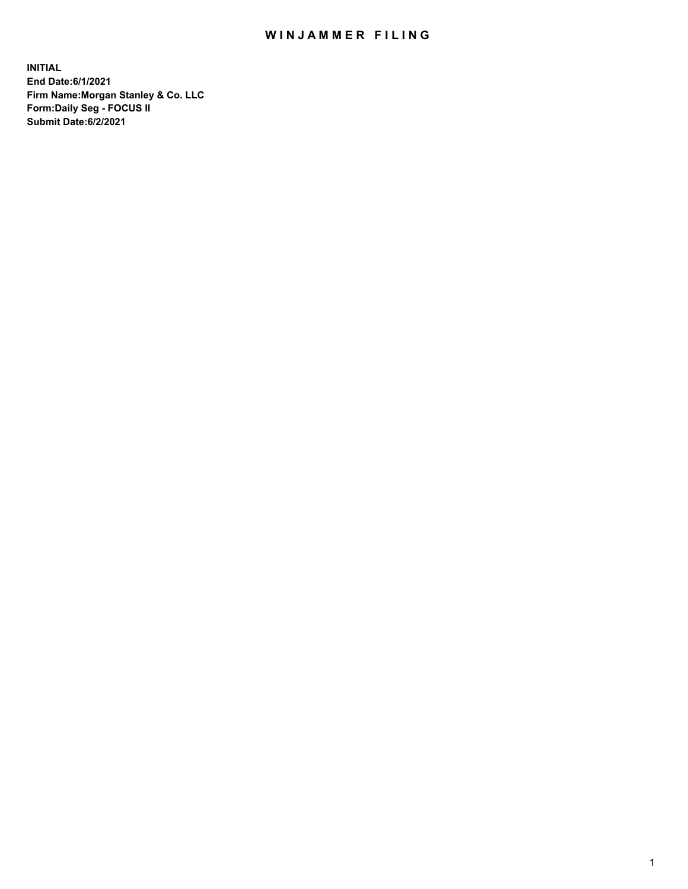## WIN JAMMER FILING

**INITIAL End Date:6/1/2021 Firm Name:Morgan Stanley & Co. LLC Form:Daily Seg - FOCUS II Submit Date:6/2/2021**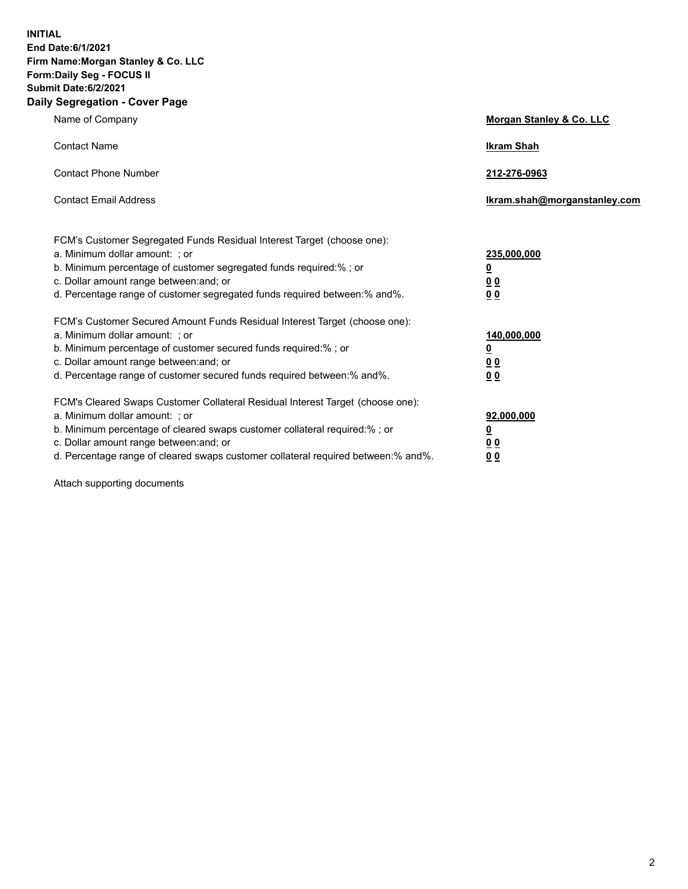**INITIAL End Date:6/1/2021 Firm Name:Morgan Stanley & Co. LLC Form:Daily Seg - FOCUS II Submit Date:6/2/2021 Daily Segregation - Cover Page**

| Name of Company                                                                                                                                                                                                                                                                                                                | <b>Morgan Stanley &amp; Co. LLC</b>                     |
|--------------------------------------------------------------------------------------------------------------------------------------------------------------------------------------------------------------------------------------------------------------------------------------------------------------------------------|---------------------------------------------------------|
| <b>Contact Name</b>                                                                                                                                                                                                                                                                                                            | <b>Ikram Shah</b>                                       |
| <b>Contact Phone Number</b>                                                                                                                                                                                                                                                                                                    | 212-276-0963                                            |
| <b>Contact Email Address</b>                                                                                                                                                                                                                                                                                                   | Ikram.shah@morganstanley.com                            |
| FCM's Customer Segregated Funds Residual Interest Target (choose one):<br>a. Minimum dollar amount: ; or<br>b. Minimum percentage of customer segregated funds required:% ; or<br>c. Dollar amount range between: and; or                                                                                                      | 235,000,000<br><u>0</u><br><u>00</u>                    |
| d. Percentage range of customer segregated funds required between:% and%.<br>FCM's Customer Secured Amount Funds Residual Interest Target (choose one):                                                                                                                                                                        | 0 <sup>0</sup>                                          |
| a. Minimum dollar amount: ; or<br>b. Minimum percentage of customer secured funds required:%; or<br>c. Dollar amount range between: and; or<br>d. Percentage range of customer secured funds required between: % and %.                                                                                                        | 140,000,000<br><u>0</u><br><u>0 0</u><br>0 <sub>0</sub> |
| FCM's Cleared Swaps Customer Collateral Residual Interest Target (choose one):<br>a. Minimum dollar amount: ; or<br>b. Minimum percentage of cleared swaps customer collateral required:% ; or<br>c. Dollar amount range between: and; or<br>d. Percentage range of cleared swaps customer collateral required between:% and%. | 92,000,000<br><u>0</u><br>0 Q<br>0 <sub>0</sub>         |

Attach supporting documents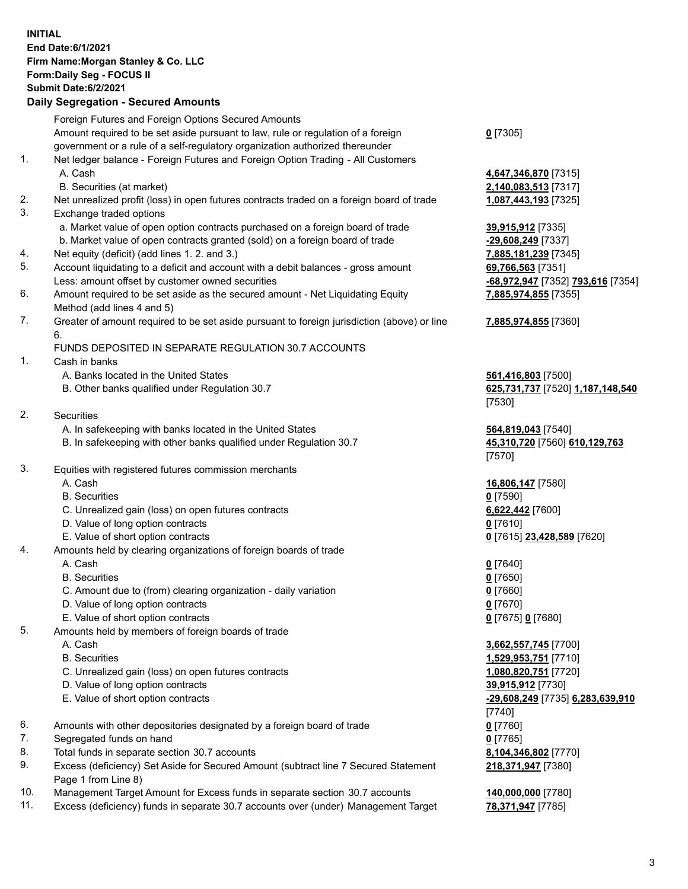## **INITIAL End Date:6/1/2021 Firm Name:Morgan Stanley & Co. LLC Form:Daily Seg - FOCUS II Submit Date:6/2/2021 Daily Segregation - Secured Amounts** Foreign Futures and Foreign Options Secured Amounts Amount required to be set aside pursuant to law, rule or regulation of a foreign government or a rule of a self-regulatory organization authorized thereunder **0** [7305] 1. Net ledger balance - Foreign Futures and Foreign Option Trading - All Customers A. Cash **4,647,346,870** [7315] B. Securities (at market) **2,140,083,513** [7317] 2. Net unrealized profit (loss) in open futures contracts traded on a foreign board of trade **1,087,443,193** [7325] 3. Exchange traded options a. Market value of open option contracts purchased on a foreign board of trade **39,915,912** [7335] b. Market value of open contracts granted (sold) on a foreign board of trade **-29,608,249** [7337] 4. Net equity (deficit) (add lines 1. 2. and 3.) **7,885,181,239** [7345] 5. Account liquidating to a deficit and account with a debit balances - gross amount **69,766,563** [7351] Less: amount offset by customer owned securities **-68,972,947** [7352] **793,616** [7354] 6. Amount required to be set aside as the secured amount - Net Liquidating Equity Method (add lines 4 and 5) 7. Greater of amount required to be set aside pursuant to foreign jurisdiction (above) or line 6. FUNDS DEPOSITED IN SEPARATE REGULATION 30.7 ACCOUNTS 1. Cash in banks A. Banks located in the United States **561,416,803** [7500] B. Other banks qualified under Regulation 30.7 **625,731,737** [7520] **1,187,148,540** 2. Securities A. In safekeeping with banks located in the United States **564,819,043** [7540] B. In safekeeping with other banks qualified under Regulation 30.7 **45,310,720** [7560] **610,129,763** 3. Equities with registered futures commission merchants A. Cash **16,806,147** [7580] B. Securities **0** [7590] C. Unrealized gain (loss) on open futures contracts **6,622,442** [7600] D. Value of long option contracts **0** [7610] E. Value of short option contracts **0** [7615] **23,428,589** [7620] 4. Amounts held by clearing organizations of foreign boards of trade A. Cash **0** [7640] B. Securities **0** [7650] C. Amount due to (from) clearing organization - daily variation **0** [7660] D. Value of long option contracts **0** [7670] E. Value of short option contracts **0** [7675] **0** [7680] 5. Amounts held by members of foreign boards of trade A. Cash **3,662,557,745** [7700] B. Securities **1,529,953,751** [7710] C. Unrealized gain (loss) on open futures contracts **1,080,820,751** [7720] D. Value of long option contracts **39,915,912** [7730] E. Value of short option contracts **-29,608,249** [7735] **6,283,639,910** [7740] 6. Amounts with other depositories designated by a foreign board of trade **0** [7760] 7. Segregated funds on hand **0** [7765] 8. Total funds in separate section 30.7 accounts **8,104,346,802** [7770] 9. Excess (deficiency) Set Aside for Secured Amount (subtract line 7 Secured Statement Page 1 from Line 8) **218,371,947** [7380]

- 10. Management Target Amount for Excess funds in separate section 30.7 accounts **140,000,000** [7780]
- 11. Excess (deficiency) funds in separate 30.7 accounts over (under) Management Target **78,371,947** [7785]

**7,885,974,855** [7355] **7,885,974,855** [7360] [7530] [7570]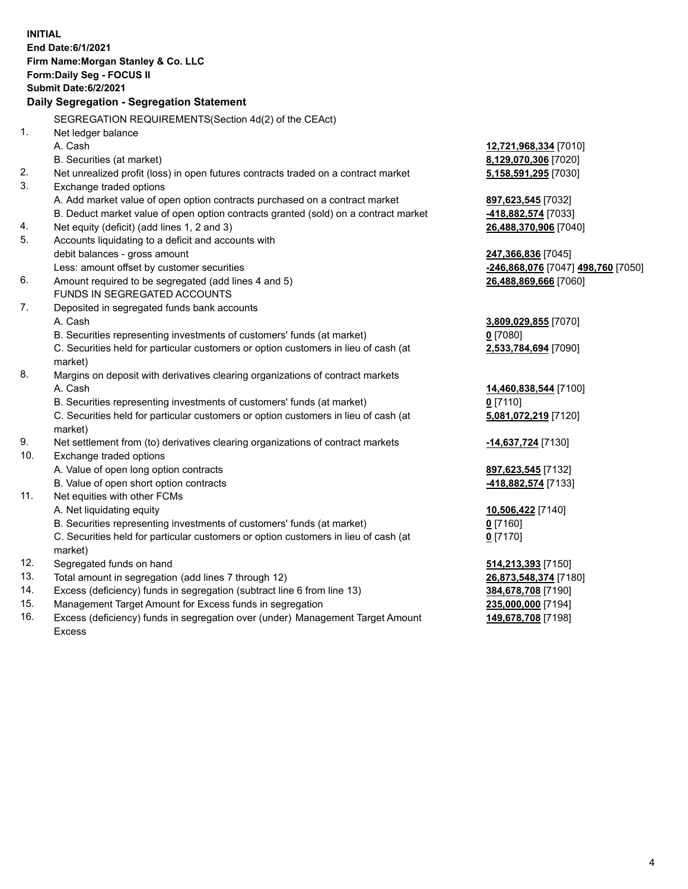|     | <b>INITIAL</b><br>End Date:6/1/2021<br>Firm Name: Morgan Stanley & Co. LLC<br>Form: Daily Seg - FOCUS II<br><b>Submit Date:6/2/2021</b><br>Daily Segregation - Segregation Statement |                                              |
|-----|--------------------------------------------------------------------------------------------------------------------------------------------------------------------------------------|----------------------------------------------|
|     |                                                                                                                                                                                      |                                              |
| 1.  | SEGREGATION REQUIREMENTS(Section 4d(2) of the CEAct)                                                                                                                                 |                                              |
|     | Net ledger balance<br>A. Cash                                                                                                                                                        |                                              |
|     | B. Securities (at market)                                                                                                                                                            | 12,721,968,334 [7010]                        |
| 2.  |                                                                                                                                                                                      | 8,129,070,306 [7020]<br>5,158,591,295 [7030] |
| 3.  | Net unrealized profit (loss) in open futures contracts traded on a contract market<br>Exchange traded options                                                                        |                                              |
|     | A. Add market value of open option contracts purchased on a contract market                                                                                                          |                                              |
|     | B. Deduct market value of open option contracts granted (sold) on a contract market                                                                                                  | 897,623,545 [7032]<br>-418,882,574 [7033]    |
| 4.  | Net equity (deficit) (add lines 1, 2 and 3)                                                                                                                                          | 26,488,370,906 [7040]                        |
| 5.  | Accounts liquidating to a deficit and accounts with                                                                                                                                  |                                              |
|     | debit balances - gross amount                                                                                                                                                        | 247,366,836 [7045]                           |
|     | Less: amount offset by customer securities                                                                                                                                           | -246,868,076 [7047] 498,760 [7050]           |
| 6.  | Amount required to be segregated (add lines 4 and 5)                                                                                                                                 | 26,488,869,666 [7060]                        |
|     | FUNDS IN SEGREGATED ACCOUNTS                                                                                                                                                         |                                              |
| 7.  | Deposited in segregated funds bank accounts                                                                                                                                          |                                              |
|     | A. Cash                                                                                                                                                                              | 3,809,029,855 [7070]                         |
|     | B. Securities representing investments of customers' funds (at market)                                                                                                               | 0 [7080]                                     |
|     | C. Securities held for particular customers or option customers in lieu of cash (at                                                                                                  | 2,533,784,694 [7090]                         |
|     | market)                                                                                                                                                                              |                                              |
| 8.  | Margins on deposit with derivatives clearing organizations of contract markets                                                                                                       |                                              |
|     | A. Cash                                                                                                                                                                              | 14,460,838,544 [7100]                        |
|     | B. Securities representing investments of customers' funds (at market)                                                                                                               | $0$ [7110]                                   |
|     | C. Securities held for particular customers or option customers in lieu of cash (at                                                                                                  | 5,081,072,219 [7120]                         |
|     | market)                                                                                                                                                                              |                                              |
| 9.  | Net settlement from (to) derivatives clearing organizations of contract markets                                                                                                      | -14,637,724 [7130]                           |
| 10. | Exchange traded options                                                                                                                                                              |                                              |
|     | A. Value of open long option contracts                                                                                                                                               | 897,623,545 [7132]                           |
|     | B. Value of open short option contracts                                                                                                                                              | -418,882,574 [7133]                          |
| 11. | Net equities with other FCMs                                                                                                                                                         |                                              |
|     | A. Net liquidating equity                                                                                                                                                            | 10,506,422 [7140]                            |
|     | B. Securities representing investments of customers' funds (at market)                                                                                                               | $0$ [7160]                                   |
|     | C. Securities held for particular customers or option customers in lieu of cash (at                                                                                                  | $0$ [7170]                                   |
|     | market)                                                                                                                                                                              |                                              |
| 12. | Segregated funds on hand                                                                                                                                                             | 514,213,393 [7150]                           |
| 13. | Total amount in segregation (add lines 7 through 12)                                                                                                                                 | 26,873,548,374 [7180]                        |
| 14. | Excess (deficiency) funds in segregation (subtract line 6 from line 13)                                                                                                              | 384,678,708 [7190]                           |
| 15. | Management Target Amount for Excess funds in segregation                                                                                                                             | 235,000,000 [7194]                           |

16. Excess (deficiency) funds in segregation over (under) Management Target Amount Excess

**149,678,708** [7198]